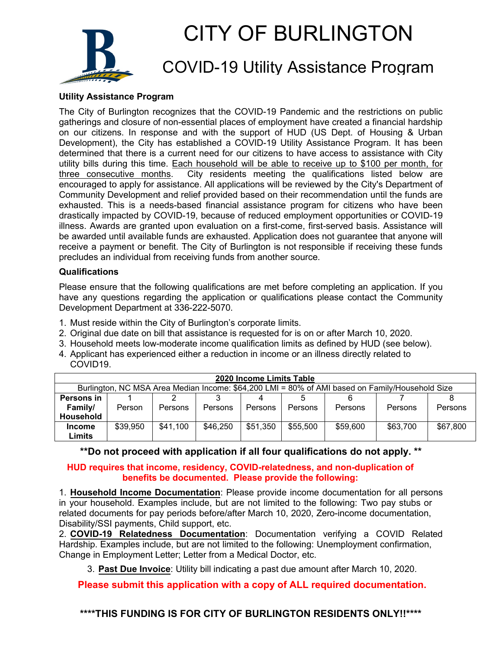

# CITY OF BURLINGTON

### COVID-19 Utility Assistance Program

#### **Utility Assistance Program**

The City of Burlington recognizes that the COVID-19 Pandemic and the restrictions on public gatherings and closure of non-essential places of employment have created a financial hardship on our citizens. In response and with the support of HUD (US Dept. of Housing & Urban Development), the City has established a COVID-19 Utility Assistance Program. It has been determined that there is a current need for our citizens to have access to assistance with City utility bills during this time. Each household will be able to receive up to \$100 per month, for three consecutive months. City residents meeting the qualifications listed below are encouraged to apply for assistance. All applications will be reviewed by the City's Department of Community Development and relief provided based on their recommendation until the funds are exhausted. This is a needs-based financial assistance program for citizens who have been drastically impacted by COVID-19, because of reduced employment opportunities or COVID-19 illness. Awards are granted upon evaluation on a first-come, first-served basis. Assistance will be awarded until available funds are exhausted. Application does not guarantee that anyone will receive a payment or benefit. The City of Burlington is not responsible if receiving these funds precludes an individual from receiving funds from another source.

#### **Qualifications**

Please ensure that the following qualifications are met before completing an application. If you have any questions regarding the application or qualifications please contact the Community Development Department at 336-222-5070.

- 1. Must reside within the City of Burlington's corporate limits.
- 2. Original due date on bill that assistance is requested for is on or after March 10, 2020.
- 3. Household meets low-moderate income qualification limits as defined by HUD (see below).
- 4. Applicant has experienced either a reduction in income or an illness directly related to COVID19.

|                                                                                                 |          |          |          | 2020 Income Limits Table |          |          |          |          |
|-------------------------------------------------------------------------------------------------|----------|----------|----------|--------------------------|----------|----------|----------|----------|
| Burlington, NC MSA Area Median Income: \$64,200 LMI = 80% of AMI based on Family/Household Size |          |          |          |                          |          |          |          |          |
| Persons in                                                                                      |          |          |          |                          |          |          |          |          |
| Family/                                                                                         | Person   | Persons  | Persons  | <b>Persons</b>           | Persons  | Persons  | Persons  | Persons  |
| Household                                                                                       |          |          |          |                          |          |          |          |          |
| <b>Income</b>                                                                                   | \$39,950 | \$41,100 | \$46,250 | \$51,350                 | \$55,500 | \$59,600 | \$63,700 | \$67,800 |
| Limits                                                                                          |          |          |          |                          |          |          |          |          |

**\*\*Do not proceed with application if all four qualifications do not apply. \*\*** 

#### **HUD requires that income, residency, COVID-relatedness, and non-duplication of benefits be documented. Please provide the following:**

1. **Household Income Documentation**: Please provide income documentation for all persons in your household. Examples include, but are not limited to the following: Two pay stubs or related documents for pay periods before/after March 10, 2020, Zero-income documentation, Disability/SSI payments, Child support, etc.

2. **COVID-19 Relatedness Documentation**: Documentation verifying a COVID Related Hardship. Examples include, but are not limited to the following: Unemployment confirmation, Change in Employment Letter; Letter from a Medical Doctor, etc.

3. **Past Due Invoice**: Utility bill indicating a past due amount after March 10, 2020.

**Please submit this application with a copy of ALL required documentation.**

**\*\*\*\*THIS FUNDING IS FOR CITY OF BURLINGTON RESIDENTS ONLY!!\*\*\*\***